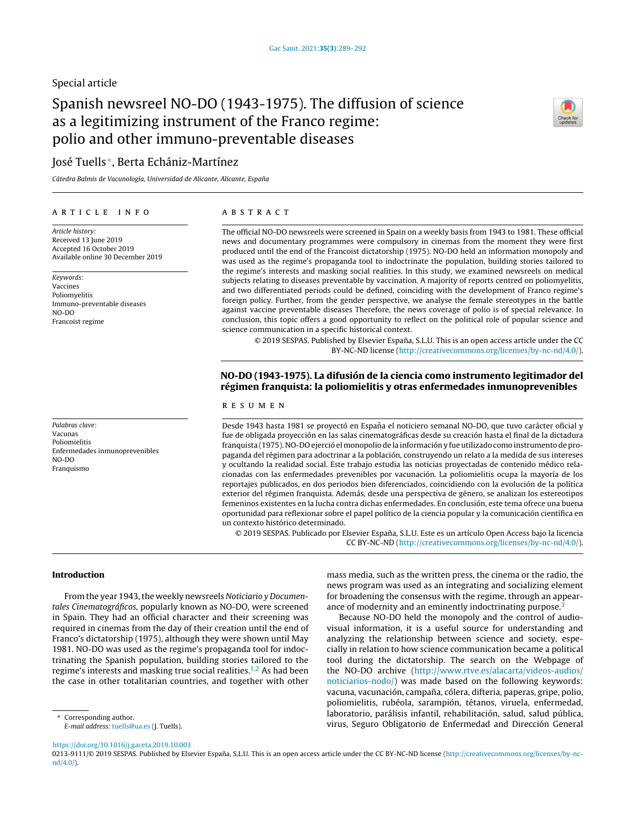# Spanish newsreel NO-DO (1943-1975). The diffusion of science as a legitimizing instrument of the Franco regime: polio and other immuno-preventable diseases



Cátedra Balmis de Vacunología, Universidad de Alicante, Alicante, España

#### a r t i c l e i n f o

Article history: Received 13 June 2019 Accepted 16 October 2019 Available online 30 December 2019

Keywords: Vaccines Poliomyelitis Immuno-preventable diseases NO-DO Francoist regime

Palabras clave: Vacunas Poliomielitis Enfermedades inmunoprevenibles NO-DO Franquismo

#### A B S T R A C T

The official NO-DO newsreels were screened in Spain on a weekly basis from 1943 to 1981. These official news and documentary programmes were compulsory in cinemas from the moment they were first produced until the end of the Francoist dictatorship (1975). NO-DO held an information monopoly and was used as the regime's propaganda tool to indoctrinate the population, building stories tailored to the regime's interests and masking social realities. In this study, we examined newsreels on medical subjects relating to diseases preventable by vaccination. A majority of reports centred on poliomyelitis, and two differentiated periods could be defined, coinciding with the development of Franco regime's foreign policy. Further, from the gender perspective, we analyse the female stereotypes in the battle against vaccine preventable diseases Therefore, the news coverage of polio is of special relevance. In conclusion, this topic offers a good opportunity to reflect on the political role of popular science and science communication in a specific historical context.

© 2019 SESPAS. Published by Elsevier España, S.L.U. This is an open access article under the CC BY-NC-ND license [\(http://creativecommons.org/licenses/by-nc-nd/4.0/](http://creativecommons.org/licenses/by-nc-nd/4.0/)).

# NO-DO (1943-1975). La difusión de la ciencia como instrumento legitimador del régimen franquista: la poliomielitis y otras enfermedades inmunoprevenibles

# r e s u m e n

Desde 1943 hasta 1981 se proyectó en España el noticiero semanal NO-DO, que tuvo carácter oficial y fue de obligada proyección en las salas cinematográficas desde su creación hasta el final de la dictadura franquista (1975). NO-DO ejerció el monopolio de la información y fue utilizado como instrumento de propaganda del régimen para adoctrinar a la población, construyendo un relato a la medida de sus intereses y ocultando la realidad social. Este trabajo estudia las noticias proyectadas de contenido médico relacionadas con las enfermedades prevenibles por vacunación. La poliomielitis ocupa la mayoría de los reportajes publicados, en dos periodos bien diferenciados, coincidiendo con la evolución de la política exterior del régimen franquista. Además, desde una perspectiva de género, se analizan los estereotipos femeninos existentes en la lucha contra dichas enfermedades. En conclusión, este tema ofrece una buena oportunidad para reflexionar sobre el papel político de la ciencia popular y la comunicación científica en un contexto histórico determinado.

© 2019 SESPAS. Publicado por Elsevier España, S.L.U. Este es un artículo Open Access bajo la licencia CC BY-NC-ND [\(http://creativecommons.org/licenses/by-nc-nd/4.0/](http://creativecommons.org/licenses/by-nc-nd/4.0/)).

## Introduction

From the year 1943, the weekly newsreels Noticiario y Documentales Cinematográficos, popularly known as NO-DO, were screened in Spain. They had an official character and their screening was required in cinemas from the day of their creation until the end of Franco's dictatorship (1975), although they were shown until May 1981. NO-DO was used as the regime's propaganda tool for indoctrinating the Spanish population, building stories tailored to the regime's interests and masking true social realities.<sup>[1,2](#page-2-0)</sup> As had been the case in other totalitarian countries, and together with other

Corresponding author.

E-mail address: [tuells@ua.es](mailto:tuells@ua.es) (J. Tuells).

mass media, such as the written press, the cinema or the radio, the news program was used as an integrating and socializing element for broadening the consensus with the regime, through an appear-ance of modernity and an eminently indoctrinating purpose.<sup>[3](#page-3-0)</sup>

Because NO-DO held the monopoly and the control of audiovisual information, it is a useful source for understanding and analyzing the relationship between science and society, especially in relation to how science communication became a political tool during the dictatorship. The search on the Webpage of the NO-DO archive [\(http://www.rtve.es/alacarta/videos-audios/](http://www.rtve.es/alacarta/videos-audios/noticiarios-nodo/) [noticiarios-nodo/](http://www.rtve.es/alacarta/videos-audios/noticiarios-nodo/)) was made based on the following keywords: vacuna, vacunación, campaña, cólera, difteria, paperas, gripe, polio, poliomielitis, rubéola, sarampión, tétanos, viruela, enfermedad, laboratorio, parálisis infantil, rehabilitación, salud, salud pública, virus, Seguro Obligatorio de Enfermedad and Dirección General

<https://doi.org/10.1016/j.gaceta.2019.10.003>

0213-9111/© 2019 SESPAS. Published by Elsevier España, S.L.U. This is an open access article under the CC BY-NC-ND license [\(http://creativecommons.org/licenses/by-nc](http://creativecommons.org/licenses/by-nc-nd/4.0/)[nd/4.0/\)](http://creativecommons.org/licenses/by-nc-nd/4.0/).

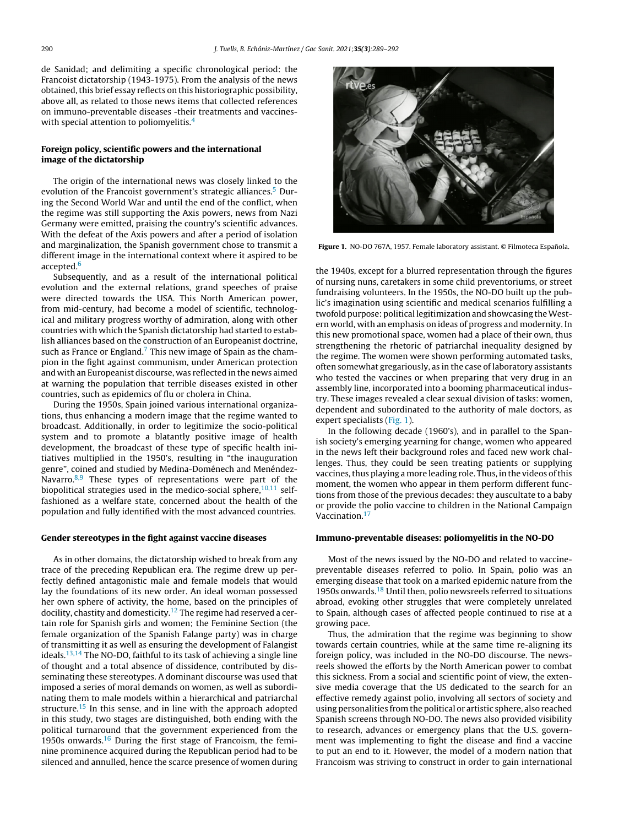de Sanidad; and delimiting a specific chronological period: the Francoist dictatorship (1943-1975). From the analysis of the news obtained, this brief essay reflects on this historiographic possibility, above all, as related to those news items that collected references on immuno-preventable diseases -their treatments and vaccines-with special attention to poliomyelitis.<sup>[4](#page-3-0)</sup>

## Foreign policy, scientific powers and the international image of the dictatorship

The origin of the international news was closely linked to the evolution of the Francoist government's strategic alliances.<sup>[5](#page-3-0)</sup> During the Second World War and until the end of the conflict, when the regime was still supporting the Axis powers, news from Nazi Germany were emitted, praising the country's scientific advances. With the defeat of the Axis powers and after a period of isolation and marginalization, the Spanish government chose to transmit a different image in the international context where it aspired to be accepted.[6](#page-3-0)

Subsequently, and as a result of the international political evolution and the external relations, grand speeches of praise were directed towards the USA. This North American power, from mid-century, had become a model of scientific, technological and military progress worthy of admiration, along with other countries with which the Spanish dictatorship had started to establish alliances based on the construction of an Europeanist doctrine, such as France or England.<sup>7</sup> [T](#page-3-0)his new image of Spain as the champion in the fight against communism, under American protection and with an Europeanist discourse, was reflected in the news aimed at warning the population that terrible diseases existed in other countries, such as epidemics of flu or cholera in China.

During the 1950s, Spain joined various international organizations, thus enhancing a modern image that the regime wanted to broadcast. Additionally, in order to legitimize the socio-political system and to promote a blatantly positive image of health development, the broadcast of these type of specific health initiatives multiplied in the 1950's, resulting in "the inauguration genre", coined and studied by Medina-Doménech and Menéndez-Navarro.<sup>[8,9](#page-3-0)</sup> These types of representations were part of the biopolitical strategies used in the medico-social sphere, $10,11$  selffashioned as a welfare state, concerned about the health of the population and fully identified with the most advanced countries.

#### Gender stereotypes in the fight against vaccine diseases

As in other domains, the dictatorship wished to break from any trace of the preceding Republican era. The regime drew up perfectly defined antagonistic male and female models that would lay the foundations of its new order. An ideal woman possessed her own sphere of activity, the home, based on the principles of docility, chastity and domesticity.<sup>[12](#page-3-0)</sup> The regime had reserved a certain role for Spanish girls and women; the Feminine Section (the female organization of the Spanish Falange party) was in charge of transmitting it as well as ensuring the development of Falangist ideals.<sup>[13,14](#page-3-0)</sup> The NO-DO, faithful to its task of achieving a single line of thought and a total absence of dissidence, contributed by disseminating these stereotypes. A dominant discourse was used that imposed a series of moral demands on women, as well as subordinating them to male models within a hierarchical and patriarchal structure.<sup>[15](#page-3-0)</sup> In this sense, and in line with the approach adopted in this study, two stages are distinguished, both ending with the political turnaround that the government experienced from the 1950s onwards.[16](#page-3-0) During the first stage of Francoism, the feminine prominence acquired during the Republican period had to be silenced and annulled, hence the scarce presence of women during



Figure 1. NO-DO 767A, 1957. Female laboratory assistant. © Filmoteca Española.

the 1940s, except for a blurred representation through the figures of nursing nuns, caretakers in some child preventoriums, or street fundraising volunteers. In the 1950s, the NO-DO built up the public's imagination using scientific and medical scenarios fulfilling a twofold purpose: political legitimization and showcasing theWestern world, with an emphasis on ideas of progress and modernity. In this new promotional space, women had a place of their own, thus strengthening the rhetoric of patriarchal inequality designed by the regime. The women were shown performing automated tasks, often somewhat gregariously, as in the case of laboratory assistants who tested the vaccines or when preparing that very drug in an assembly line, incorporated into a booming pharmaceutical industry. These images revealed a clear sexual division of tasks: women, dependent and subordinated to the authority of male doctors, as expert specialists (Fig. 1).

In the following decade (1960's), and in parallel to the Spanish society's emerging yearning for change, women who appeared in the news left their background roles and faced new work challenges. Thus, they could be seen treating patients or supplying vaccines, thus playing a more leading role. Thus, in the videos of this moment, the women who appear in them perform different functions from those of the previous decades: they auscultate to a baby or provide the polio vaccine to children in the National Campaign Vaccination.<sup>[17](#page-3-0)</sup>

#### Immuno-preventable diseases: poliomyelitis in the NO-DO

Most of the news issued by the NO-DO and related to vaccinepreventable diseases referred to polio. In Spain, polio was an emerging disease that took on a marked epidemic nature from the 1950s onwards.<sup>[18](#page-3-0)</sup> Until then, polio newsreels referred to situations abroad, evoking other struggles that were completely unrelated to Spain, although cases of affected people continued to rise at a growing pace.

Thus, the admiration that the regime was beginning to show towards certain countries, while at the same time re-aligning its foreign policy, was included in the NO-DO discourse. The newsreels showed the efforts by the North American power to combat this sickness. From a social and scientific point of view, the extensive media coverage that the US dedicated to the search for an effective remedy against polio, involving all sectors of society and using personalities from the political or artistic sphere, also reached Spanish screens through NO-DO. The news also provided visibility to research, advances or emergency plans that the U.S. government was implementing to fight the disease and find a vaccine to put an end to it. However, the model of a modern nation that Francoism was striving to construct in order to gain international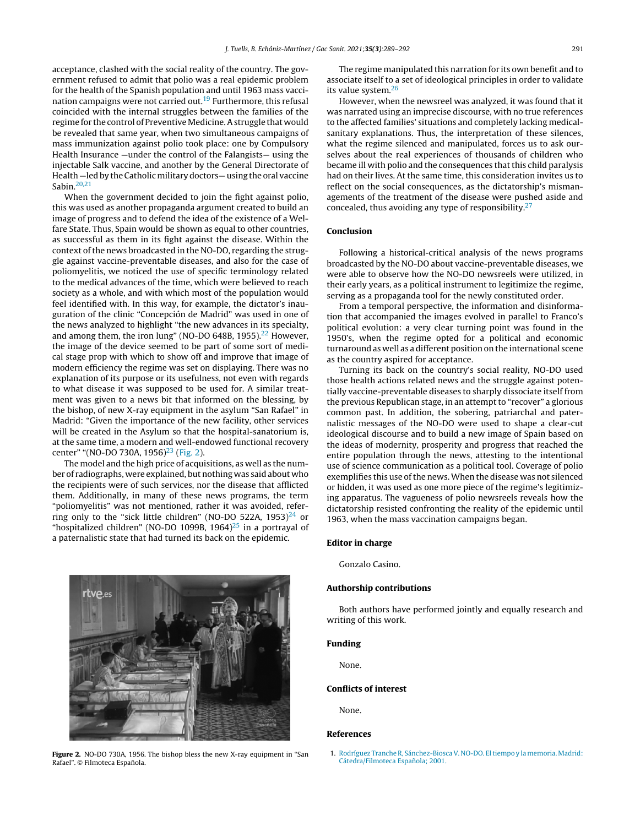<span id="page-2-0"></span>acceptance, clashed with the social reality of the country. The government refused to admit that polio was a real epidemic problem for the health of the Spanish population and until 1963 mass vaccination campaigns were not carried out.[19](#page-3-0) Furthermore, this refusal coincided with the internal struggles between the families of the regime for the control of Preventive Medicine. A struggle that would be revealed that same year, when two simultaneous campaigns of mass immunization against polio took place: one by Compulsory Health Insurance —under the control of the Falangists— using the injectable Salk vaccine, and another by the General Directorate of Health –led by the Catholic military doctors – using the oral vaccine Sabin.[20,21](#page-3-0)

When the government decided to join the fight against polio, this was used as another propaganda argument created to build an image of progress and to defend the idea of the existence of a Welfare State. Thus, Spain would be shown as equal to other countries, as successful as them in its fight against the disease. Within the context of the news broadcasted in the NO-DO, regarding the struggle against vaccine-preventable diseases, and also for the case of poliomyelitis, we noticed the use of specific terminology related to the medical advances of the time, which were believed to reach society as a whole, and with which most of the population would feel identified with. In this way, for example, the dictator's inauguration of the clinic "Concepción de Madrid" was used in one of the news analyzed to highlight "the new advances in its specialty, and among them, the iron lung" (NO-DO 648B, 1955). $^{22}$  $^{22}$  $^{22}$  However, the image of the device seemed to be part of some sort of medical stage prop with which to show off and improve that image of modern efficiency the regime was set on displaying. There was no explanation of its purpose or its usefulness, not even with regards to what disease it was supposed to be used for. A similar treatment was given to a news bit that informed on the blessing, by the bishop, of new X-ray equipment in the asylum "San Rafael" in Madrid: "Given the importance of the new facility, other services will be created in the Asylum so that the hospital-sanatorium is, at the same time, a modern and well-endowed functional recovery center" "(NO-DO 730A, 1956)<sup>[23](#page-3-0)</sup> (Fig. 2).

The model and the high price of acquisitions, as well as the number of radiographs, were explained, but nothing was said about who the recipients were of such services, nor the disease that afflicted them. Additionally, in many of these news programs, the term "poliomyelitis" was not mentioned, rather it was avoided, refer-ring only to the "sick little children" (NO-DO 522A, 1953)<sup>[24](#page-3-0)</sup> or "hospitalized children" (NO-DO 1099B, 1964)<sup>[25](#page-3-0)</sup> in a portrayal of a paternalistic state that had turned its back on the epidemic.

Figure 2. NO-DO 730A, 1956. The bishop bless the new X-ray equipment in "San Rafael". © Filmoteca Española.

The regime manipulated this narration for its own benefit and to associate itself to a set of ideological principles in order to validate its value system.[26](#page-3-0)

However, when the newsreel was analyzed, it was found that it was narrated using an imprecise discourse, with no true references to the affected families' situations and completely lacking medicalsanitary explanations. Thus, the interpretation of these silences, what the regime silenced and manipulated, forces us to ask ourselves about the real experiences of thousands of children who became ill with polio and the consequences that this child paralysis had on their lives. At the same time, this consideration invites us to reflect on the social consequences, as the dictatorship's mismanagements of the treatment of the disease were pushed aside and concealed, thus avoiding any type of responsibility. $27$ 

## Conclusion

Following a historical-critical analysis of the news programs broadcasted by the NO-DO about vaccine-preventable diseases, we were able to observe how the NO-DO newsreels were utilized, in their early years, as a political instrument to legitimize the regime, serving as a propaganda tool for the newly constituted order.

From a temporal perspective, the information and disinformation that accompanied the images evolved in parallel to Franco's political evolution: a very clear turning point was found in the 1950's, when the regime opted for a political and economic turnaround as well as a different position on the international scene as the country aspired for acceptance.

Turning its back on the country's social reality, NO-DO used those health actions related news and the struggle against potentially vaccine-preventable diseases to sharply dissociate itself from the previous Republican stage, in an attempt to "recover" a glorious common past. In addition, the sobering, patriarchal and paternalistic messages of the NO-DO were used to shape a clear-cut ideological discourse and to build a new image of Spain based on the ideas of modernity, prosperity and progress that reached the entire population through the news, attesting to the intentional use of science communication as a political tool. Coverage of polio exemplifies this use of the news. When the disease was not silenced or hidden, it was used as one more piece of the regime's legitimizing apparatus. The vagueness of polio newsreels reveals how the dictatorship resisted confronting the reality of the epidemic until 1963, when the mass vaccination campaigns began.

## Editor in charge

Gonzalo Casino.

#### Authorship contributions

Both authors have performed jointly and equally research and writing of this work.

#### Funding

None.

# Conflicts of interest

None.

## References

1. [Rodríguez](http://refhub.elsevier.com/S0213-9111(19)30264-X/sbref0140) [Tranche](http://refhub.elsevier.com/S0213-9111(19)30264-X/sbref0140) [R,](http://refhub.elsevier.com/S0213-9111(19)30264-X/sbref0140) Sánchez-Biosca V. [NO-DO.](http://refhub.elsevier.com/S0213-9111(19)30264-X/sbref0140) El tiempo [y](http://refhub.elsevier.com/S0213-9111(19)30264-X/sbref0140) [la](http://refhub.elsevier.com/S0213-9111(19)30264-X/sbref0140) [memoria.](http://refhub.elsevier.com/S0213-9111(19)30264-X/sbref0140) [Madrid:](http://refhub.elsevier.com/S0213-9111(19)30264-X/sbref0140) [Cátedra/Filmoteca](http://refhub.elsevier.com/S0213-9111(19)30264-X/sbref0140) Española; [2001.](http://refhub.elsevier.com/S0213-9111(19)30264-X/sbref0140)